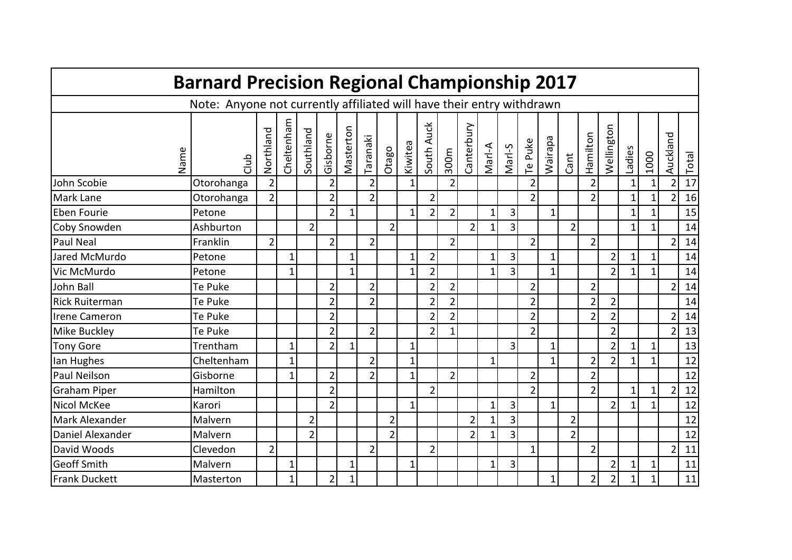|                       | <b>Barnard Precision Regional Championship 2017</b>                   |                |              |                |                |              |                |                |                |                |                |                |              |                |                |                |                |                |                |              |              |                |       |
|-----------------------|-----------------------------------------------------------------------|----------------|--------------|----------------|----------------|--------------|----------------|----------------|----------------|----------------|----------------|----------------|--------------|----------------|----------------|----------------|----------------|----------------|----------------|--------------|--------------|----------------|-------|
|                       | Note: Anyone not currently affiliated will have their entry withdrawn |                |              |                |                |              |                |                |                |                |                |                |              |                |                |                |                |                |                |              |              |                |       |
| Name                  | dub<br>J                                                              | Northland      | Cheltenham   | Southland      | Gisborne       | Masterton    | iaranaki       | Otago          | Kiwitea        | South Auck     | 300m           | Canterbury     | Marl-A       | Marl-S         | Te Puke        | <b>Wairapa</b> | Cant           | Hamilton       | Wellington     | Ladies       | 1000         | Auckland       | Total |
| John Scobie           | Otorohanga                                                            | $\overline{2}$ |              |                | $\overline{2}$ |              | $\overline{2}$ |                | 1              |                | 2              |                |              |                | $\overline{2}$ |                |                | $\overline{2}$ |                | 1            | 1            | $\overline{2}$ | 17    |
| <b>Mark Lane</b>      | Otorohanga                                                            | $\overline{2}$ |              |                | $\overline{2}$ |              | $\overline{2}$ |                |                | $\overline{2}$ |                |                |              |                | $\overline{2}$ |                |                | $\overline{2}$ |                | $\mathbf{1}$ | $\mathbf{1}$ | $\overline{2}$ | 16    |
| Eben Fourie           | Petone                                                                |                |              |                | $\overline{2}$ | $\mathbf 1$  |                |                | $\mathbf{1}$   | $\overline{2}$ | $\overline{2}$ |                | 1            | $\overline{3}$ |                | 1              |                |                |                | $1\vert$     | $\mathbf{1}$ |                | 15    |
| Coby Snowden          | Ashburton                                                             |                |              | $\overline{2}$ |                |              |                | $\overline{2}$ |                |                |                | $\overline{2}$ | $\mathbf{1}$ | $\overline{3}$ |                |                | $\overline{2}$ |                |                | $\mathbf{1}$ | $\mathbf{1}$ |                | 14    |
| <b>Paul Neal</b>      | Franklin                                                              | $\overline{2}$ |              |                | $\overline{2}$ |              | $\overline{2}$ |                |                |                | $\overline{2}$ |                |              |                | $\overline{2}$ |                |                | $\overline{2}$ |                |              |              | $\overline{2}$ | 14    |
| Jared McMurdo         | Petone                                                                |                | 1            |                |                | 1            |                |                | 1              | $\overline{2}$ |                |                | 1            | 3              |                | $1\vert$       |                |                | $\overline{2}$ | $1\vert$     | 1            |                | 14    |
| Vic McMurdo           | Petone                                                                |                | 1            |                |                | $\mathbf{1}$ |                |                | 1              | $\overline{2}$ |                |                |              | 3              |                | 1              |                |                | $\overline{2}$ | $\mathbf{1}$ | $\mathbf{1}$ |                | 14    |
| John Ball             | Te Puke                                                               |                |              |                | 2              |              | $\overline{2}$ |                |                | $\overline{2}$ | $\overline{2}$ |                |              |                | $\overline{2}$ |                |                | $\overline{2}$ |                |              |              | $\overline{2}$ | 14    |
| <b>Rick Ruiterman</b> | Te Puke                                                               |                |              |                | $\overline{2}$ |              | $\overline{2}$ |                |                | $\overline{2}$ | $\overline{2}$ |                |              |                | $\overline{2}$ |                |                | $\overline{2}$ | $\overline{2}$ |              |              |                | 14    |
| <b>Irene Cameron</b>  | Te Puke                                                               |                |              |                | $\overline{2}$ |              |                |                |                | $\overline{2}$ | $\overline{2}$ |                |              |                | $\overline{2}$ |                |                | $\overline{2}$ | $\overline{2}$ |              |              | $\overline{2}$ | 14    |
| <b>Mike Buckley</b>   | Te Puke                                                               |                |              |                | $\overline{2}$ |              | $\overline{2}$ |                |                | $\overline{2}$ | $\mathbf{1}$   |                |              |                | $\overline{2}$ |                |                |                | $\overline{2}$ |              |              | $\overline{2}$ | 13    |
| <b>Tony Gore</b>      | Trentham                                                              |                | $\mathbf{1}$ |                | $\overline{2}$ | $\mathbf 1$  |                |                | $\mathbf{1}$   |                |                |                |              | 3              |                | 1              |                |                | $\overline{2}$ | $\mathbf{1}$ | $\mathbf{1}$ |                | 13    |
| lan Hughes            | Cheltenham                                                            |                | $\mathbf{1}$ |                |                |              | $\overline{2}$ |                | 1              |                |                |                | 1            |                |                | 1              |                | $\overline{2}$ | $\overline{2}$ | $\mathbf{1}$ | 1            |                | 12    |
| <b>Paul Neilson</b>   | Gisborne                                                              |                | 1            |                | $\overline{2}$ |              | $\overline{2}$ |                | $\mathbf{1}$   |                | $\overline{2}$ |                |              |                | $\overline{2}$ |                |                | $\overline{2}$ |                |              |              |                | 12    |
| Graham Piper          | Hamilton                                                              |                |              |                | $\overline{2}$ |              |                |                |                | $\overline{2}$ |                |                |              |                | $\overline{2}$ |                |                | $\overline{2}$ |                | $\mathbf{1}$ | $\mathbf 1$  | $\overline{2}$ | 12    |
| <b>Nicol McKee</b>    | Karori                                                                |                |              |                | $\overline{2}$ |              |                |                | 1              |                |                |                | $\mathbf{1}$ | 3              |                | $1\vert$       |                |                | $\overline{2}$ | $\mathbf{1}$ | 1            |                | 12    |
| Mark Alexander        | Malvern                                                               |                |              | $\overline{2}$ |                |              |                | $\overline{2}$ |                |                |                | $\overline{2}$ |              | 3              |                |                | $\overline{2}$ |                |                |              |              |                | 12    |
| Daniel Alexander      | Malvern                                                               |                |              | $\overline{2}$ |                |              |                | $\overline{2}$ |                |                |                | $\overline{2}$ | 1            | 3              |                |                | $\overline{2}$ |                |                |              |              |                | 12    |
| David Woods           | Clevedon                                                              | $\overline{2}$ |              |                |                |              | $\overline{2}$ |                |                | $\overline{2}$ |                |                |              |                | $\mathbf{1}$   |                |                | $\overline{2}$ |                |              |              | $\overline{2}$ | 11    |
| <b>Geoff Smith</b>    | Malvern                                                               |                | $\mathbf 1$  |                |                | $\mathbf 1$  |                |                | $\overline{1}$ |                |                |                | 1            | 3              |                |                |                |                | $\overline{2}$ | $\mathbf{1}$ | 1            |                | 11    |
| Frank Duckett         | Masterton                                                             |                | 1            |                | 2              |              |                |                |                |                |                |                |              |                |                | $1\vert$       |                | $\overline{2}$ | $\overline{2}$ | $\mathbf{1}$ |              |                | 11    |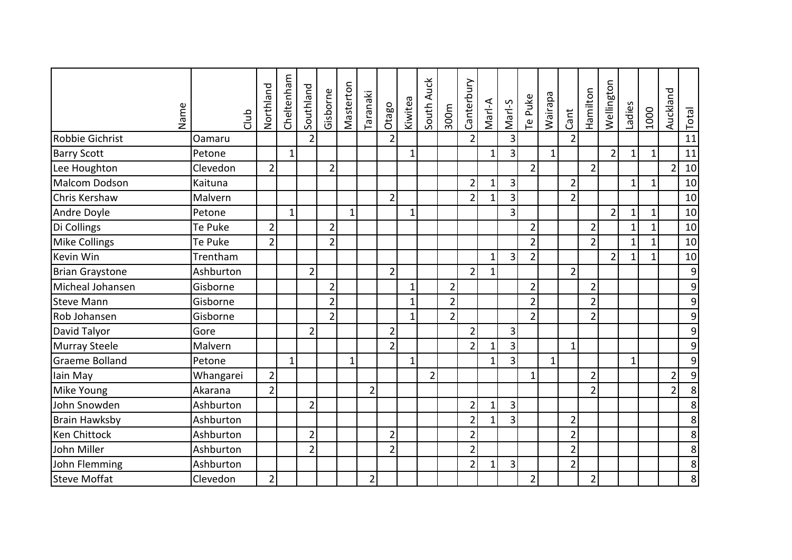| Name                   | dub       | Northland      | Cheltenham   | Southland      | Gisborne       | Masterton    | Taranaki       | Otago          | Kiwitea        | South Auck     | 300m           | Canterbury     | Marl-A       | Marl-S         | Te Puke        | Wairapa      | Cant           | Hamilton       | Wellington     | Ladies       | 1000         | Auckland       | Total            |
|------------------------|-----------|----------------|--------------|----------------|----------------|--------------|----------------|----------------|----------------|----------------|----------------|----------------|--------------|----------------|----------------|--------------|----------------|----------------|----------------|--------------|--------------|----------------|------------------|
| <b>Robbie Gichrist</b> | Oamaru    |                |              | $\overline{2}$ |                |              |                | $\overline{2}$ |                |                |                | $\overline{2}$ |              | 3              |                |              | $\overline{2}$ |                |                |              |              |                | 11               |
| <b>Barry Scott</b>     | Petone    |                | $\mathbf{1}$ |                |                |              |                |                | $\overline{1}$ |                |                |                | 1            | $\overline{3}$ |                | $\mathbf{1}$ |                |                | $\overline{2}$ | $\mathbf{1}$ | $1\vert$     |                | 11               |
| Lee Houghton           | Clevedon  | $\overline{2}$ |              |                | $\overline{2}$ |              |                |                |                |                |                |                |              |                | $\overline{2}$ |              |                | $\overline{2}$ |                |              |              | $\overline{2}$ | 10               |
| Malcom Dodson          | Kaituna   |                |              |                |                |              |                |                |                |                |                | $\overline{2}$ | 1            | 3              |                |              | 2              |                |                | $\mathbf{1}$ | $1\vert$     |                | 10               |
| Chris Kershaw          | Malvern   |                |              |                |                |              |                | 2 <sup>1</sup> |                |                |                | $\overline{2}$ |              | 3              |                |              | $\overline{2}$ |                |                |              |              |                | 10               |
| Andre Doyle            | Petone    |                | $\mathbf{1}$ |                |                | $\mathbf{1}$ |                |                | $\mathbf{1}$   |                |                |                |              | 3              |                |              |                |                | $\overline{2}$ | $\mathbf 1$  | $\mathbf 1$  |                | 10               |
| Di Collings            | Te Puke   | $\overline{2}$ |              |                | $\overline{2}$ |              |                |                |                |                |                |                |              |                | $\overline{2}$ |              |                | 2              |                | $\mathbf{1}$ | 1            |                | 10               |
| <b>Mike Collings</b>   | Te Puke   | $\overline{2}$ |              |                | $\overline{2}$ |              |                |                |                |                |                |                |              |                | $\overline{2}$ |              |                | $\overline{2}$ |                | $\mathbf{1}$ | $\mathbf{1}$ |                | 10               |
| Kevin Win              | Trentham  |                |              |                |                |              |                |                |                |                |                |                | $1\vert$     | 3 <sup>1</sup> | $\overline{2}$ |              |                |                | $\overline{2}$ | $\mathbf{1}$ | $\mathbf{1}$ |                | 10               |
| <b>Brian Graystone</b> | Ashburton |                |              | $\overline{2}$ |                |              |                | $\overline{2}$ |                |                |                | $\overline{2}$ | 1            |                |                |              | $\overline{2}$ |                |                |              |              |                | $\boldsymbol{9}$ |
| Micheal Johansen       | Gisborne  |                |              |                | $\overline{2}$ |              |                |                | $\overline{1}$ |                | $\overline{2}$ |                |              |                | $\overline{2}$ |              |                | $\overline{2}$ |                |              |              |                | 9                |
| <b>Steve Mann</b>      | Gisborne  |                |              |                | $\overline{2}$ |              |                |                | $\overline{1}$ |                | $\overline{2}$ |                |              |                | $\overline{2}$ |              |                | $\overline{2}$ |                |              |              |                | 9                |
| Rob Johansen           | Gisborne  |                |              |                | $\overline{2}$ |              |                |                | $\mathbf{1}$   |                | $\overline{2}$ |                |              |                | $\overline{2}$ |              |                | $\overline{2}$ |                |              |              |                | $\mathsf 9$      |
| David Talyor           | Gore      |                |              | $\overline{2}$ |                |              |                | $\overline{2}$ |                |                |                | $\overline{2}$ |              | 3              |                |              |                |                |                |              |              |                | 9                |
| <b>Murray Steele</b>   | Malvern   |                |              |                |                |              |                | $\overline{2}$ |                |                |                | $\overline{2}$ | 1            | 3              |                |              | $\mathbf 1$    |                |                |              |              |                | 9                |
| <b>Graeme Bolland</b>  | Petone    |                | $\mathbf{1}$ |                |                | $\mathbf 1$  |                |                | 1              |                |                |                | 1            | 3              |                | $\mathbf{1}$ |                |                |                | $\mathbf{1}$ |              |                | 9                |
| lain May               | Whangarei | $\overline{2}$ |              |                |                |              |                |                |                | $\overline{2}$ |                |                |              |                | $\mathbf{1}$   |              |                | $\overline{2}$ |                |              |              | $\overline{2}$ | 9                |
| Mike Young             | Akarana   | $\overline{2}$ |              |                |                |              | $\overline{2}$ |                |                |                |                |                |              |                |                |              |                | $\overline{2}$ |                |              |              | $\overline{2}$ | 8                |
| John Snowden           | Ashburton |                |              | $\overline{2}$ |                |              |                |                |                |                |                | $\overline{2}$ | 1            | 3 <sup>1</sup> |                |              |                |                |                |              |              |                | 8                |
| <b>Brain Hawksby</b>   | Ashburton |                |              |                |                |              |                |                |                |                |                | $\overline{2}$ | $\mathbf{1}$ | 3              |                |              | $\overline{2}$ |                |                |              |              |                | 8                |
| <b>Ken Chittock</b>    | Ashburton |                |              | $\overline{2}$ |                |              |                | $\overline{2}$ |                |                |                | $\overline{2}$ |              |                |                |              | $\overline{2}$ |                |                |              |              |                | 8                |
| John Miller            | Ashburton |                |              | $\overline{2}$ |                |              |                | $\overline{2}$ |                |                |                | $\overline{2}$ |              |                |                |              | $\overline{2}$ |                |                |              |              |                | 8                |
| John Flemming          | Ashburton |                |              |                |                |              |                |                |                |                |                | $\overline{2}$ | 1            | 3              |                |              | $\overline{2}$ |                |                |              |              |                | 8                |
| Steve Moffat           | Clevedon  | $\overline{2}$ |              |                |                |              | 2              |                |                |                |                |                |              |                | $\overline{2}$ |              |                | 2              |                |              |              |                | $\overline{8}$   |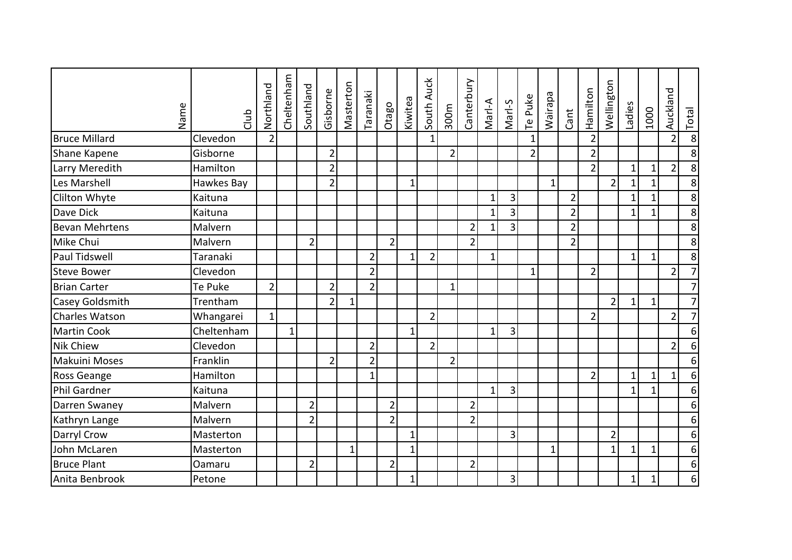| Name                  | dub        | Northland      | Cheltenham   | Southland      | Gisborne       | Masterton    | Taranaki       | Otago          | Kiwitea      | South Auck     | 300m           | Canterbury     | Marl-A       | Marl-S          | Te Puke        | Wairapa      | Cant           | Hamilton       | Wellington     | Ladies       | 1000         | Auckland       | Total          |
|-----------------------|------------|----------------|--------------|----------------|----------------|--------------|----------------|----------------|--------------|----------------|----------------|----------------|--------------|-----------------|----------------|--------------|----------------|----------------|----------------|--------------|--------------|----------------|----------------|
| <b>Bruce Millard</b>  | Clevedon   | $\overline{2}$ |              |                |                |              |                |                |              | 1              |                |                |              |                 | $\mathbf{1}$   |              |                | $\overline{2}$ |                |              |              | $\overline{2}$ | 8              |
| Shane Kapene          | Gisborne   |                |              |                | $\overline{2}$ |              |                |                |              |                | $\overline{2}$ |                |              |                 | $\overline{2}$ |              |                | $\overline{2}$ |                |              |              |                | 8              |
| Larry Meredith        | Hamilton   |                |              |                | $\overline{2}$ |              |                |                |              |                |                |                |              |                 |                |              |                | $\overline{2}$ |                | $\mathbf{1}$ | $\mathbf{1}$ | $\overline{2}$ | 8              |
| Les Marshell          | Hawkes Bay |                |              |                | $\overline{2}$ |              |                |                | 1            |                |                |                |              |                 |                | $\mathbf{1}$ |                |                | $\overline{2}$ | $\mathbf{1}$ | $\mathbf{1}$ |                | 8              |
| Clilton Whyte         | Kaituna    |                |              |                |                |              |                |                |              |                |                |                | 1            | 3               |                |              | $\overline{2}$ |                |                | $\mathbf{1}$ |              |                | 8              |
| Dave Dick             | Kaituna    |                |              |                |                |              |                |                |              |                |                |                | $\mathbf{1}$ | 3               |                |              | $\overline{2}$ |                |                | $\mathbf{1}$ | $\mathbf{1}$ |                | 8              |
| <b>Bevan Mehrtens</b> | Malvern    |                |              |                |                |              |                |                |              |                |                | $\overline{2}$ | $\mathbf{1}$ | 3               |                |              | $\overline{2}$ |                |                |              |              |                | 8              |
| Mike Chui             | Malvern    |                |              | $\overline{2}$ |                |              |                | $\overline{2}$ |              |                |                | $\overline{2}$ |              |                 |                |              | $\overline{2}$ |                |                |              |              |                | 8              |
| <b>Paul Tidswell</b>  | Taranaki   |                |              |                |                |              | $\overline{2}$ |                | $\mathbf{1}$ | $\overline{2}$ |                |                | 1            |                 |                |              |                |                |                | $1\vert$     | $\mathbf{1}$ |                | 8 <sup>1</sup> |
| Steve Bower           | Clevedon   |                |              |                |                |              | $\overline{2}$ |                |              |                |                |                |              |                 | $\mathbf{1}$   |              |                | $\overline{2}$ |                |              |              | $\overline{2}$ | $\overline{7}$ |
| <b>Brian Carter</b>   | Te Puke    | $\overline{2}$ |              |                | $\overline{2}$ |              | $\overline{2}$ |                |              |                | $\mathbf{1}$   |                |              |                 |                |              |                |                |                |              |              |                | $\overline{7}$ |
| Casey Goldsmith       | Trentham   |                |              |                | $\overline{2}$ | $\mathbf{1}$ |                |                |              |                |                |                |              |                 |                |              |                |                | $\overline{2}$ | $1\vert$     | $1\vert$     |                | $\overline{7}$ |
| Charles Watson        | Whangarei  | $\mathbf{1}$   |              |                |                |              |                |                |              | $\overline{2}$ |                |                |              |                 |                |              |                | $\overline{2}$ |                |              |              | $\overline{2}$ | $\overline{7}$ |
| <b>Martin Cook</b>    | Cheltenham |                | $\mathbf{1}$ |                |                |              |                |                | $\mathbf{1}$ |                |                |                | $\mathbf{1}$ | 3               |                |              |                |                |                |              |              |                | 6              |
| <b>Nik Chiew</b>      | Clevedon   |                |              |                |                |              | $\overline{2}$ |                |              | $\overline{2}$ |                |                |              |                 |                |              |                |                |                |              |              | $\overline{2}$ | 6              |
| <b>Makuini Moses</b>  | Franklin   |                |              |                | $\overline{2}$ |              | $\overline{2}$ |                |              |                | $\overline{2}$ |                |              |                 |                |              |                |                |                |              |              |                | 6              |
| Ross Geange           | Hamilton   |                |              |                |                |              | $\mathbf{1}$   |                |              |                |                |                |              |                 |                |              |                | $\overline{2}$ |                | $\mathbf{1}$ | $\mathbf{1}$ | $\mathbf{1}$   | 6              |
| Phil Gardner          | Kaituna    |                |              |                |                |              |                |                |              |                |                |                | $\mathbf{1}$ | 3 <sub>1</sub>  |                |              |                |                |                | $\mathbf{1}$ | $\mathbf{1}$ |                | 6              |
| Darren Swaney         | Malvern    |                |              | $\overline{2}$ |                |              |                | $\overline{2}$ |              |                |                | $\overline{2}$ |              |                 |                |              |                |                |                |              |              |                | 6              |
| Kathryn Lange         | Malvern    |                |              | $\overline{2}$ |                |              |                | $\overline{2}$ |              |                |                | $\overline{2}$ |              |                 |                |              |                |                |                |              |              |                | 6              |
| Darryl Crow           | Masterton  |                |              |                |                |              |                |                | 1            |                |                |                |              | 3               |                |              |                |                | $\overline{2}$ |              |              |                | 6              |
| John McLaren          | Masterton  |                |              |                |                | $\mathbf{1}$ |                |                | $\mathbf{1}$ |                |                |                |              |                 |                | $1\vert$     |                |                | $\mathbf{1}$   | $1\vert$     | 1            |                | 6              |
| <b>Bruce Plant</b>    | Oamaru     |                |              | $\overline{2}$ |                |              |                | $\overline{2}$ |              |                |                | $\overline{2}$ |              |                 |                |              |                |                |                |              |              |                | 6              |
| Anita Benbrook        | Petone     |                |              |                |                |              |                |                | 1            |                |                |                |              | $\vert 3 \vert$ |                |              |                |                |                | $1\vert$     | $\mathbf{1}$ |                | 6              |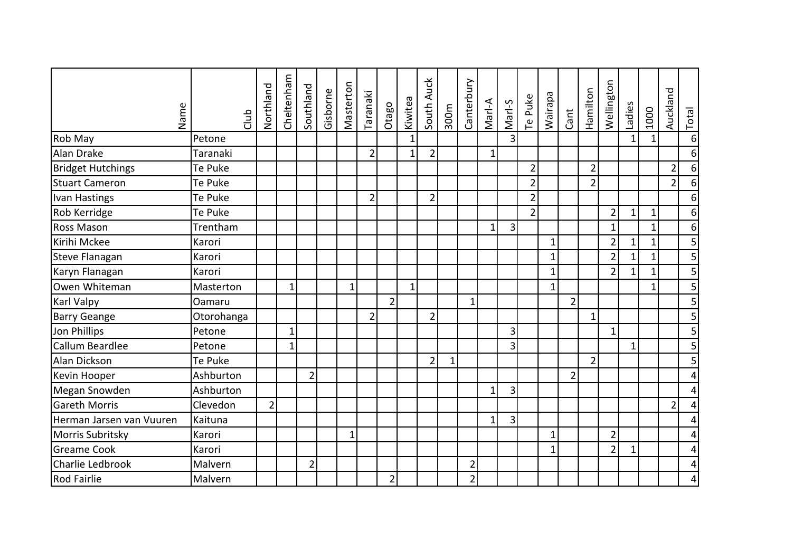| Name                     | dub        | Northland      | Cheltenham   | Southland      | Gisborne | Masterton    | Taranaki       | Otago          | Kiwitea      | South Auck     | 300m     | Canterbury     | Marl-A       | Marl-S         | Te Puke        | <b>Wairapa</b> | Cant           | Hamilton       | Wellington     | Ladies       | 1000         | Auckland       | Total          |
|--------------------------|------------|----------------|--------------|----------------|----------|--------------|----------------|----------------|--------------|----------------|----------|----------------|--------------|----------------|----------------|----------------|----------------|----------------|----------------|--------------|--------------|----------------|----------------|
| Rob May                  | Petone     |                |              |                |          |              |                |                | $\mathbf{1}$ |                |          |                |              | $\overline{3}$ |                |                |                |                |                | $\mathbf{1}$ | $1\vert$     |                | 6              |
| Alan Drake               | Taranaki   |                |              |                |          |              | $\overline{2}$ |                | 1            | $\overline{2}$ |          |                | $\mathbf{1}$ |                |                |                |                |                |                |              |              |                | 6              |
| <b>Bridget Hutchings</b> | Te Puke    |                |              |                |          |              |                |                |              |                |          |                |              |                | $\overline{2}$ |                |                | $\overline{2}$ |                |              |              | $\overline{2}$ | 6              |
| Stuart Cameron           | Te Puke    |                |              |                |          |              |                |                |              |                |          |                |              |                | $\overline{2}$ |                |                | $\overline{2}$ |                |              |              | $\overline{2}$ | 6              |
| Ivan Hastings            | Te Puke    |                |              |                |          |              | $\overline{2}$ |                |              | $\overline{2}$ |          |                |              |                | $\overline{2}$ |                |                |                |                |              |              |                | 6              |
| Rob Kerridge             | Te Puke    |                |              |                |          |              |                |                |              |                |          |                |              |                | $\overline{2}$ |                |                |                | $\overline{2}$ | $\mathbf{1}$ | $\mathbf{1}$ |                | 6              |
| <b>Ross Mason</b>        | Trentham   |                |              |                |          |              |                |                |              |                |          |                | 1            | 3              |                |                |                |                | $\mathbf{1}$   |              | $\mathbf{1}$ |                | 6              |
| Kirihi Mckee             | Karori     |                |              |                |          |              |                |                |              |                |          |                |              |                |                | $\mathbf{1}$   |                |                | $\overline{2}$ | $\mathbf{1}$ | $\mathbf{1}$ |                | 5              |
| <b>Steve Flanagan</b>    | Karori     |                |              |                |          |              |                |                |              |                |          |                |              |                |                | $\mathbf{1}$   |                |                | $\overline{2}$ | $\mathbf{1}$ | $\mathbf{1}$ |                | 5              |
| Karyn Flanagan           | Karori     |                |              |                |          |              |                |                |              |                |          |                |              |                |                | $\mathbf 1$    |                |                | $\overline{2}$ | $\mathbf 1$  | 1            |                | 5              |
| Owen Whiteman            | Masterton  |                | $\mathbf{1}$ |                |          | $\mathbf{1}$ |                |                | $\mathbf{1}$ |                |          |                |              |                |                | $\mathbf{1}$   |                |                |                |              | 1            |                | 5              |
| <b>Karl Valpy</b>        | Oamaru     |                |              |                |          |              |                | $\overline{2}$ |              |                |          | $\mathbf{1}$   |              |                |                |                | $\overline{2}$ |                |                |              |              |                | 5              |
| <b>Barry Geange</b>      | Otorohanga |                |              |                |          |              | $\overline{2}$ |                |              | $\overline{2}$ |          |                |              |                |                |                |                | 1              |                |              |              |                | 5              |
| Jon Phillips             | Petone     |                | $\mathbf{1}$ |                |          |              |                |                |              |                |          |                |              | 3              |                |                |                |                | $\mathbf{1}$   |              |              |                | $\overline{5}$ |
| Callum Beardlee          | Petone     |                | $\mathbf 1$  |                |          |              |                |                |              |                |          |                |              | 3              |                |                |                |                |                | $\mathbf{1}$ |              |                | 5              |
| Alan Dickson             | Te Puke    |                |              |                |          |              |                |                |              | $\overline{2}$ | $1\vert$ |                |              |                |                |                |                | $\overline{2}$ |                |              |              |                | 5              |
| Kevin Hooper             | Ashburton  |                |              | $\overline{2}$ |          |              |                |                |              |                |          |                |              |                |                |                | $\overline{2}$ |                |                |              |              |                | 4              |
| Megan Snowden            | Ashburton  |                |              |                |          |              |                |                |              |                |          |                | $\mathbf{1}$ | 3              |                |                |                |                |                |              |              |                | 4              |
| <b>Gareth Morris</b>     | Clevedon   | $\overline{2}$ |              |                |          |              |                |                |              |                |          |                |              |                |                |                |                |                |                |              |              | $\overline{2}$ | 4              |
| Herman Jarsen van Vuuren | Kaituna    |                |              |                |          |              |                |                |              |                |          |                | 1            | 3              |                |                |                |                |                |              |              |                | 4              |
| Morris Subritsky         | Karori     |                |              |                |          | 1            |                |                |              |                |          |                |              |                |                | 1              |                |                | $\overline{2}$ |              |              |                | 4              |
| <b>Greame Cook</b>       | Karori     |                |              |                |          |              |                |                |              |                |          |                |              |                |                | $\mathbf{1}$   |                |                | $\overline{2}$ | $\mathbf{1}$ |              |                | 4              |
| Charlie Ledbrook         | Malvern    |                |              | $\overline{2}$ |          |              |                |                |              |                |          | $\overline{2}$ |              |                |                |                |                |                |                |              |              |                | 4              |
| <b>Rod Fairlie</b>       | Malvern    |                |              |                |          |              |                | $\overline{2}$ |              |                |          | $\overline{2}$ |              |                |                |                |                |                |                |              |              |                | 4              |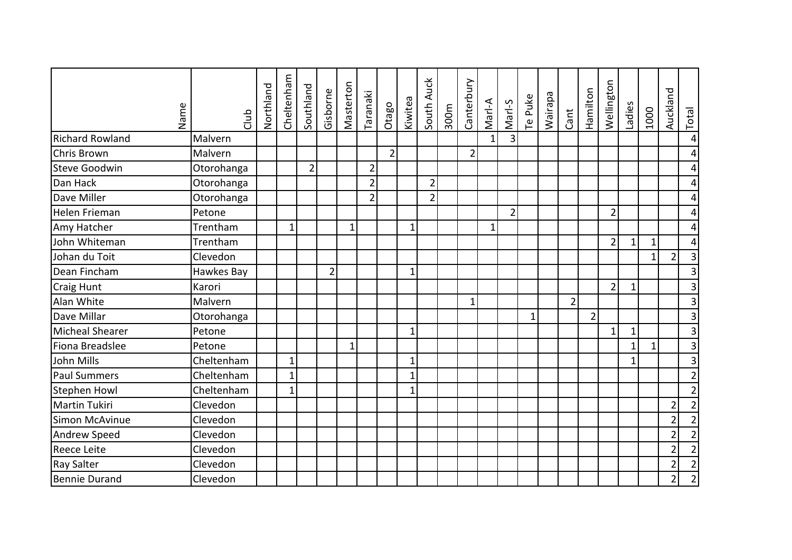| Name                   | dub        | Northland | Cheltenham   | Southland      | Gisborne       | Masterton   | Taranaki       | Otago          | Kiwitea      | South Auck     | 300m | Canterbury     | Marl-A   | Marl-S         | Te Puke     | <b>Wairapa</b> | Cant           | Hamilton       | Wellington     | Ladies       | 1000         | Auckland       | Total                   |
|------------------------|------------|-----------|--------------|----------------|----------------|-------------|----------------|----------------|--------------|----------------|------|----------------|----------|----------------|-------------|----------------|----------------|----------------|----------------|--------------|--------------|----------------|-------------------------|
| <b>Richard Rowland</b> | Malvern    |           |              |                |                |             |                |                |              |                |      |                | $1\vert$ | $\overline{3}$ |             |                |                |                |                |              |              |                | $\overline{4}$          |
| <b>Chris Brown</b>     | Malvern    |           |              |                |                |             |                | $\overline{2}$ |              |                |      | $\overline{2}$ |          |                |             |                |                |                |                |              |              |                | 4                       |
| <b>Steve Goodwin</b>   | Otorohanga |           |              | $\overline{2}$ |                |             | $\overline{2}$ |                |              |                |      |                |          |                |             |                |                |                |                |              |              |                | 4                       |
| Dan Hack               | Otorohanga |           |              |                |                |             | $\overline{2}$ |                |              | $\overline{2}$ |      |                |          |                |             |                |                |                |                |              |              |                | 4                       |
| Dave Miller            | Otorohanga |           |              |                |                |             | $\overline{2}$ |                |              | $\overline{2}$ |      |                |          |                |             |                |                |                |                |              |              |                | 4                       |
| Helen Frieman          | Petone     |           |              |                |                |             |                |                |              |                |      |                |          | $\overline{2}$ |             |                |                |                | $\overline{2}$ |              |              |                | 4                       |
| Amy Hatcher            | Trentham   |           | $\mathbf{1}$ |                |                | $\mathbf 1$ |                |                | $\mathbf{1}$ |                |      |                | 1        |                |             |                |                |                |                |              |              |                | 4                       |
| John Whiteman          | Trentham   |           |              |                |                |             |                |                |              |                |      |                |          |                |             |                |                |                | $\overline{2}$ | $\mathbf{1}$ | $\mathbf{1}$ |                | 4                       |
| Johan du Toit          | Clevedon   |           |              |                |                |             |                |                |              |                |      |                |          |                |             |                |                |                |                |              | 1            | $\overline{2}$ | 3                       |
| Dean Fincham           | Hawkes Bay |           |              |                | $\overline{2}$ |             |                |                | $\mathbf{1}$ |                |      |                |          |                |             |                |                |                |                |              |              |                | $\overline{3}$          |
| Craig Hunt             | Karori     |           |              |                |                |             |                |                |              |                |      |                |          |                |             |                |                |                | $\overline{2}$ | $\mathbf{1}$ |              |                | 3                       |
| Alan White             | Malvern    |           |              |                |                |             |                |                |              |                |      | $\mathbf{1}$   |          |                |             |                | $\overline{2}$ |                |                |              |              |                | $\overline{3}$          |
| Dave Millar            | Otorohanga |           |              |                |                |             |                |                |              |                |      |                |          |                | $\mathbf 1$ |                |                | $\overline{2}$ |                |              |              |                | $\mathbf{3}$            |
| Micheal Shearer        | Petone     |           |              |                |                |             |                |                | $\mathbf{1}$ |                |      |                |          |                |             |                |                |                | $\mathbf{1}$   | $\mathbf 1$  |              |                | $\overline{3}$          |
| Fiona Breadslee        | Petone     |           |              |                |                | $\mathbf 1$ |                |                |              |                |      |                |          |                |             |                |                |                |                | $\mathbf{1}$ | 1            |                | $\overline{3}$          |
| John Mills             | Cheltenham |           | $\mathbf 1$  |                |                |             |                |                | 1            |                |      |                |          |                |             |                |                |                |                | $\mathbf{1}$ |              |                | $\overline{\mathbf{3}}$ |
| <b>Paul Summers</b>    | Cheltenham |           | $\mathbf{1}$ |                |                |             |                |                | $\mathbf{1}$ |                |      |                |          |                |             |                |                |                |                |              |              |                | $\overline{2}$          |
| <b>Stephen Howl</b>    | Cheltenham |           | $\mathbf{1}$ |                |                |             |                |                | 1            |                |      |                |          |                |             |                |                |                |                |              |              |                | $\overline{2}$          |
| <b>Martin Tukiri</b>   | Clevedon   |           |              |                |                |             |                |                |              |                |      |                |          |                |             |                |                |                |                |              |              | $\overline{2}$ | $\overline{2}$          |
| Simon McAvinue         | Clevedon   |           |              |                |                |             |                |                |              |                |      |                |          |                |             |                |                |                |                |              |              | $\overline{2}$ | $\overline{2}$          |
| Andrew Speed           | Clevedon   |           |              |                |                |             |                |                |              |                |      |                |          |                |             |                |                |                |                |              |              | $\overline{2}$ | $\overline{2}$          |
| <b>Reece Leite</b>     | Clevedon   |           |              |                |                |             |                |                |              |                |      |                |          |                |             |                |                |                |                |              |              | $\overline{2}$ | $\overline{2}$          |
| <b>Ray Salter</b>      | Clevedon   |           |              |                |                |             |                |                |              |                |      |                |          |                |             |                |                |                |                |              |              | $\overline{2}$ | $\overline{2}$          |
| Bennie Durand          | Clevedon   |           |              |                |                |             |                |                |              |                |      |                |          |                |             |                |                |                |                |              |              | $\overline{2}$ | $\overline{2}$          |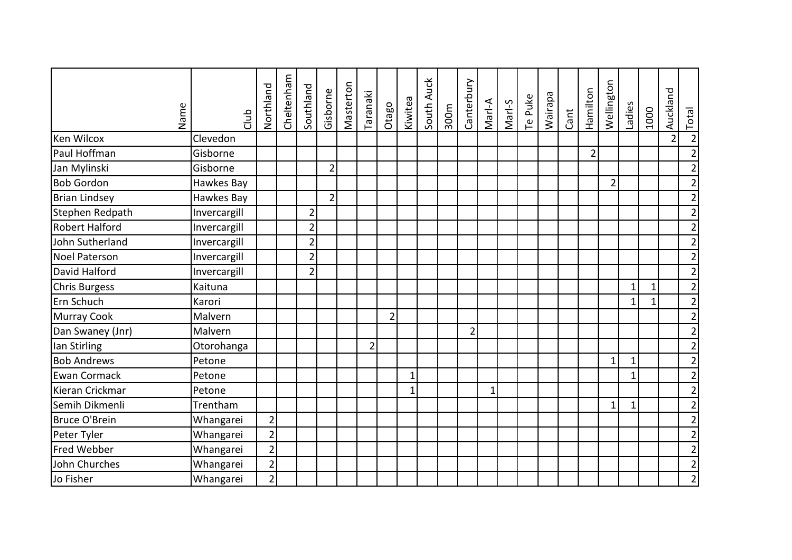| Name                  | dub          | Northland      | Cheltenham | Southland      | Gisborne       | Masterton | Taranaki       | Otago          | Kiwitea      | South Auck | 300m | Canterbury     | Marl-A       | Marl-S | Te Puke | Wairapa | Cant | Hamilton       | Wellington     | Ladies       | 1000         | Auckland       | <b>Total</b>   |
|-----------------------|--------------|----------------|------------|----------------|----------------|-----------|----------------|----------------|--------------|------------|------|----------------|--------------|--------|---------|---------|------|----------------|----------------|--------------|--------------|----------------|----------------|
| Ken Wilcox            | Clevedon     |                |            |                |                |           |                |                |              |            |      |                |              |        |         |         |      |                |                |              |              | $\overline{2}$ | $\overline{2}$ |
| Paul Hoffman          | Gisborne     |                |            |                |                |           |                |                |              |            |      |                |              |        |         |         |      | $\overline{2}$ |                |              |              |                | $\overline{2}$ |
| Jan Mylinski          | Gisborne     |                |            |                | $\overline{2}$ |           |                |                |              |            |      |                |              |        |         |         |      |                |                |              |              |                | $\overline{2}$ |
| <b>Bob Gordon</b>     | Hawkes Bay   |                |            |                |                |           |                |                |              |            |      |                |              |        |         |         |      |                | $\overline{2}$ |              |              |                | $\overline{2}$ |
| <b>Brian Lindsey</b>  | Hawkes Bay   |                |            |                | $\overline{2}$ |           |                |                |              |            |      |                |              |        |         |         |      |                |                |              |              |                | $\overline{2}$ |
| Stephen Redpath       | Invercargill |                |            | $\overline{2}$ |                |           |                |                |              |            |      |                |              |        |         |         |      |                |                |              |              |                | $\overline{2}$ |
| <b>Robert Halford</b> | Invercargill |                |            | $\overline{2}$ |                |           |                |                |              |            |      |                |              |        |         |         |      |                |                |              |              |                | $\overline{2}$ |
| John Sutherland       | Invercargill |                |            | $\overline{2}$ |                |           |                |                |              |            |      |                |              |        |         |         |      |                |                |              |              |                | $\overline{2}$ |
| <b>Noel Paterson</b>  | Invercargill |                |            | $\overline{2}$ |                |           |                |                |              |            |      |                |              |        |         |         |      |                |                |              |              |                | $\overline{2}$ |
| David Halford         | Invercargill |                |            | $\overline{2}$ |                |           |                |                |              |            |      |                |              |        |         |         |      |                |                |              |              |                | $\overline{2}$ |
| Chris Burgess         | Kaituna      |                |            |                |                |           |                |                |              |            |      |                |              |        |         |         |      |                |                | $\mathbf{1}$ | 1            |                | 2              |
| Ern Schuch            | Karori       |                |            |                |                |           |                |                |              |            |      |                |              |        |         |         |      |                |                | $\mathbf{1}$ | $\mathbf{1}$ |                | $\overline{2}$ |
| Murray Cook           | Malvern      |                |            |                |                |           |                | $\overline{2}$ |              |            |      |                |              |        |         |         |      |                |                |              |              |                | $\overline{2}$ |
| Dan Swaney (Jnr)      | Malvern      |                |            |                |                |           |                |                |              |            |      | $\overline{2}$ |              |        |         |         |      |                |                |              |              |                | $\overline{2}$ |
| lan Stirling          | Otorohanga   |                |            |                |                |           | $\overline{2}$ |                |              |            |      |                |              |        |         |         |      |                |                |              |              |                | $\overline{2}$ |
| <b>Bob Andrews</b>    | Petone       |                |            |                |                |           |                |                |              |            |      |                |              |        |         |         |      |                | 1              | 1            |              |                | $\overline{2}$ |
| <b>Ewan Cormack</b>   | Petone       |                |            |                |                |           |                |                | $\mathbf{1}$ |            |      |                |              |        |         |         |      |                |                | $\mathbf{1}$ |              |                | $\overline{2}$ |
| Kieran Crickmar       | Petone       |                |            |                |                |           |                |                | $\mathbf{1}$ |            |      |                | $\mathbf{1}$ |        |         |         |      |                |                |              |              |                | $\overline{2}$ |
| Semih Dikmenli        | Trentham     |                |            |                |                |           |                |                |              |            |      |                |              |        |         |         |      |                | 1              | $\mathbf 1$  |              |                | $\overline{2}$ |
| <b>Bruce O'Brein</b>  | Whangarei    | $\overline{2}$ |            |                |                |           |                |                |              |            |      |                |              |        |         |         |      |                |                |              |              |                | $\overline{2}$ |
| Peter Tyler           | Whangarei    | $\overline{2}$ |            |                |                |           |                |                |              |            |      |                |              |        |         |         |      |                |                |              |              |                | $\overline{2}$ |
| Fred Webber           | Whangarei    | $\overline{2}$ |            |                |                |           |                |                |              |            |      |                |              |        |         |         |      |                |                |              |              |                | $\overline{2}$ |
| John Churches         | Whangarei    | $\overline{2}$ |            |                |                |           |                |                |              |            |      |                |              |        |         |         |      |                |                |              |              |                | $\overline{2}$ |
| Jo Fisher             | Whangarei    | $\overline{2}$ |            |                |                |           |                |                |              |            |      |                |              |        |         |         |      |                |                |              |              |                | $\overline{2}$ |